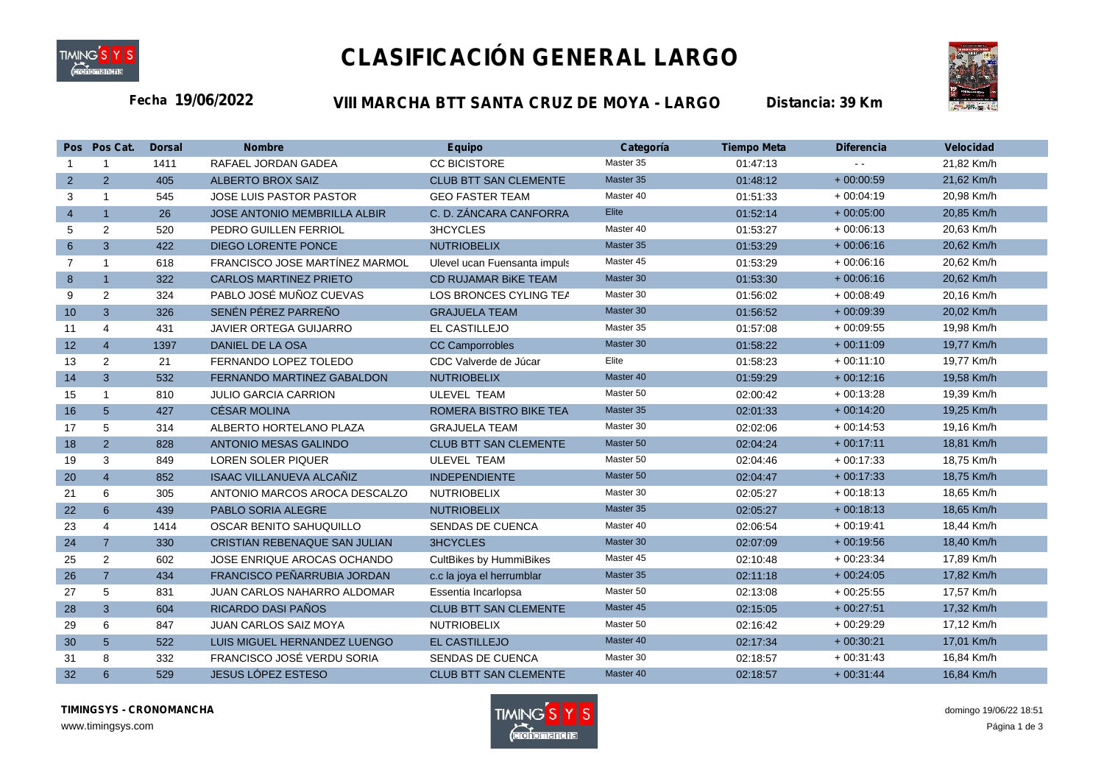

## **CLASIFICACIÓN GENERAL LARGO**



**19/06/2022 VIII MARCHA BTT SANTA CRUZ DE MOYA - LARGO Fecha** *Distancia: 39 Km*

|                 | Pos Pos Cat.   | <b>Dorsal</b> | <b>Nombre</b>                      | <b>Equipo</b>                 | Categoría | <b>Tiempo Meta</b> | <b>Diferencia</b> | Velocidad  |  |
|-----------------|----------------|---------------|------------------------------------|-------------------------------|-----------|--------------------|-------------------|------------|--|
| $\mathbf{1}$    | $\mathbf{1}$   | 1411          | RAFAEL JORDAN GADEA                | <b>CC BICISTORE</b>           | Master 35 | 01:47:13           |                   | 21,82 Km/h |  |
| $\overline{2}$  | 2              | 405           | <b>ALBERTO BROX SAIZ</b>           | <b>CLUB BTT SAN CLEMENTE</b>  | Master 35 | 01:48:12           | $+00:00:59$       | 21,62 Km/h |  |
| 3               | $\mathbf{1}$   | 545           | <b>JOSE LUIS PASTOR PASTOR</b>     | <b>GEO FASTER TEAM</b>        | Master 40 | 01:51:33           | $+00:04:19$       | 20,98 Km/h |  |
| $\overline{4}$  | $\mathbf{1}$   | 26            | JOSE ANTONIO MEMBRILLA ALBIR       | C. D. ZÁNCARA CANFORRA        | Elite     | 01:52:14           | $+00:05:00$       | 20,85 Km/h |  |
| 5               | 2              | 520           | PEDRO GUILLEN FERRIOL              | 3HCYCLES                      | Master 40 | 01:53:27           | $+00:06:13$       | 20,63 Km/h |  |
| 6 <sup>°</sup>  | $\overline{3}$ | 422           | <b>DIEGO LORENTE PONCE</b>         | <b>NUTRIOBELIX</b>            | Master 35 | 01:53:29           | $+00:06:16$       | 20,62 Km/h |  |
| $\overline{7}$  | $\mathbf{1}$   | 618           | FRANCISCO JOSE MARTÍNEZ MARMOL     | Ulevel ucan Fuensanta impuls  | Master 45 | 01:53:29           | $+00:06:16$       | 20,62 Km/h |  |
| 8               | $\mathbf{1}$   | 322           | <b>CARLOS MARTINEZ PRIETO</b>      | CD RUJAMAR BIKE TEAM          | Master 30 | 01:53:30           | $+00:06:16$       | 20,62 Km/h |  |
| 9               | 2              | 324           | PABLO JOSÉ MUÑOZ CUEVAS            | LOS BRONCES CYLING TEA        | Master 30 | 01:56:02           | $+00:08:49$       | 20,16 Km/h |  |
| 10 <sup>1</sup> | $\overline{3}$ | 326           | SENÉN PÉREZ PARREÑO                | <b>GRAJUELA TEAM</b>          | Master 30 | 01:56:52           | $+00:09:39$       | 20,02 Km/h |  |
| 11              | 4              | 431           | JAVIER ORTEGA GUIJARRO             | EL CASTILLEJO                 | Master 35 | 01:57:08           | $+00:09:55$       | 19,98 Km/h |  |
| 12              | $\overline{4}$ | 1397          | DANIEL DE LA OSA                   | <b>CC Camporrobles</b>        | Master 30 | 01:58:22           | $+00:11:09$       | 19,77 Km/h |  |
| 13              | 2              | 21            | FERNANDO LOPEZ TOLEDO              | CDC Valverde de Júcar         | Elite     | 01:58:23           | $+00:11:10$       | 19,77 Km/h |  |
| 14              | $\overline{3}$ | 532           | FERNANDO MARTINEZ GABALDON         | <b>NUTRIOBELIX</b>            | Master 40 | 01:59:29           | $+00:12:16$       | 19,58 Km/h |  |
| 15              | $\mathbf{1}$   | 810           | <b>JULIO GARCIA CARRION</b>        | <b>ULEVEL TEAM</b>            | Master 50 | 02:00:42           | $+00:13:28$       | 19,39 Km/h |  |
| 16              | 5 <sup>5</sup> | 427           | <b>CÉSAR MOLINA</b>                | <b>ROMERA BISTRO BIKE TEA</b> | Master 35 | 02:01:33           | $+00:14:20$       | 19,25 Km/h |  |
| 17              | 5              | 314           | ALBERTO HORTELANO PLAZA            | <b>GRAJUELA TEAM</b>          | Master 30 | 02:02:06           | $+00:14:53$       | 19,16 Km/h |  |
| 18              | 2              | 828           | <b>ANTONIO MESAS GALINDO</b>       | <b>CLUB BTT SAN CLEMENTE</b>  | Master 50 | 02:04:24           | $+00:17:11$       | 18,81 Km/h |  |
| 19              | 3              | 849           | <b>LOREN SOLER PIQUER</b>          | <b>ULEVEL TEAM</b>            | Master 50 | 02:04:46           | $+00:17:33$       | 18,75 Km/h |  |
| 20              | $\overline{4}$ | 852           | <b>ISAAC VILLANUEVA ALCAÑIZ</b>    | <b>INDEPENDIENTE</b>          | Master 50 | 02:04:47           | $+00:17:33$       | 18,75 Km/h |  |
| 21              | 6              | 305           | ANTONIO MARCOS AROCA DESCALZO      | <b>NUTRIOBELIX</b>            | Master 30 | 02:05:27           | $+00:18:13$       | 18,65 Km/h |  |
| 22              | $6\phantom{1}$ | 439           | PABLO SORIA ALEGRE                 | <b>NUTRIOBELIX</b>            | Master 35 | 02:05:27           | $+00:18:13$       | 18,65 Km/h |  |
| 23              | 4              | 1414          | OSCAR BENITO SAHUQUILLO            | <b>SENDAS DE CUENCA</b>       | Master 40 | 02:06:54           | $+00:19:41$       | 18,44 Km/h |  |
| 24              | $\overline{7}$ | 330           | CRISTIAN REBENAQUE SAN JULIAN      | <b>3HCYCLES</b>               | Master 30 | 02:07:09           | $+00:19:56$       | 18,40 Km/h |  |
| 25              | 2              | 602           | JOSE ENRIQUE AROCAS OCHANDO        | CultBikes by HummiBikes       | Master 45 | 02:10:48           | $+00:23:34$       | 17,89 Km/h |  |
| 26              | $\overline{7}$ | 434           | FRANCISCO PEÑARRUBIA JORDAN        | c.c la joya el herrumblar     | Master 35 | 02:11:18           | $+00:24:05$       | 17,82 Km/h |  |
| 27              | 5              | 831           | <b>JUAN CARLOS NAHARRO ALDOMAR</b> | Essentia Incarlopsa           | Master 50 | 02:13:08           | $+00:25:55$       | 17,57 Km/h |  |
| 28              | 3              | 604           | RICARDO DASI PAÑOS                 | <b>CLUB BTT SAN CLEMENTE</b>  | Master 45 | 02:15:05           | $+00:27:51$       | 17,32 Km/h |  |
| 29              | 6              | 847           | JUAN CARLOS SAIZ MOYA              | <b>NUTRIOBELIX</b>            | Master 50 | 02:16:42           | $+00:29:29$       | 17,12 Km/h |  |
| 30              | 5 <sup>5</sup> | 522           | LUIS MIGUEL HERNANDEZ LUENGO       | <b>EL CASTILLEJO</b>          | Master 40 | 02:17:34           | $+00:30:21$       | 17,01 Km/h |  |
| 31              | 8              | 332           | FRANCISCO JOSÉ VERDU SORIA         | <b>SENDAS DE CUENCA</b>       | Master 30 | 02:18:57           | $+00:31:43$       | 16,84 Km/h |  |
| 32              | 6              | 529           | <b>JESUS LÓPEZ ESTESO</b>          | <b>CLUB BTT SAN CLEMENTE</b>  | Master 40 | 02:18:57           | $+00:31:44$       | 16,84 Km/h |  |

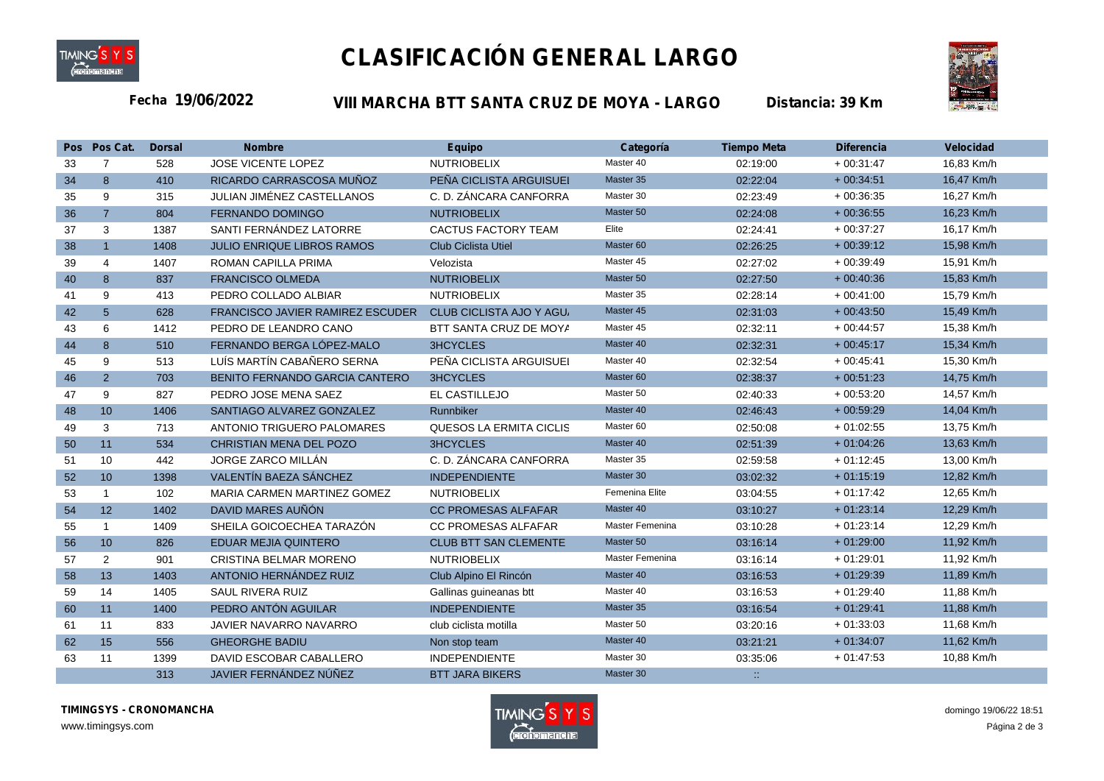

## **CLASIFICACIÓN GENERAL LARGO**



**19/06/2022 VIII MARCHA BTT SANTA CRUZ DE MOYA - LARGO Fecha** *Distancia: 39 Km*

|    | Pos Pos Cat.   | <b>Dorsal</b> | <b>Nombre</b>                           | <b>Equipo</b>                | Categoria            | Tiempo Meta                 | <b>Diferencia</b> | <b>Velocidad</b> |
|----|----------------|---------------|-----------------------------------------|------------------------------|----------------------|-----------------------------|-------------------|------------------|
| 33 | $\overline{7}$ | 528           | JOSE VICENTE LOPEZ                      | <b>NUTRIOBELIX</b>           | Master 40            | 02:19:00                    | $+00:31:47$       | 16,83 Km/h       |
| 34 | 8              | 410           | RICARDO CARRASCOSA MUÑOZ                | PEÑA CICLISTA ARGUISUEI      | Master 35            | 02:22:04                    | $+00:34:51$       | 16,47 Km/h       |
| 35 | 9              | 315           | JULIAN JIMÉNEZ CASTELLANOS              | C. D. ZÁNCARA CANFORRA       | Master 30            | 02:23:49                    | $+00:36:35$       | 16,27 Km/h       |
| 36 | $\overline{7}$ | 804           | <b>FERNANDO DOMINGO</b>                 | <b>NUTRIOBELIX</b>           | Master 50            | 02:24:08                    | $+00:36:55$       | 16,23 Km/h       |
| 37 | 3              | 1387          | SANTI FERNÁNDEZ LATORRE                 | <b>CACTUS FACTORY TEAM</b>   | Elite                | 02:24:41                    | $+00:37:27$       | 16,17 Km/h       |
| 38 | $\overline{1}$ | 1408          | <b>JULIO ENRIQUE LIBROS RAMOS</b>       | <b>Club Ciclista Utiel</b>   | Master 60            | 02:26:25                    | $+00:39:12$       | 15,98 Km/h       |
| 39 | 4              | 1407          | <b>ROMAN CAPILLA PRIMA</b>              | Velozista                    | Master 45            | 02:27:02                    | $+00:39:49$       | 15,91 Km/h       |
| 40 | 8              | 837           | <b>FRANCISCO OLMEDA</b>                 | <b>NUTRIOBELIX</b>           | Master 50            | 02:27:50                    | $+00:40:36$       | 15,83 Km/h       |
| 41 | 9              | 413           | PEDRO COLLADO ALBIAR                    | <b>NUTRIOBELIX</b>           | Master 35            | 02:28:14                    | $+00:41:00$       | 15,79 Km/h       |
| 42 | 5              | 628           | <b>FRANCISCO JAVIER RAMIREZ ESCUDER</b> | CLUB CICLISTA AJO Y AGU      | Master 45            | 02:31:03                    | $+00:43:50$       | 15,49 Km/h       |
| 43 | 6              | 1412          | PEDRO DE LEANDRO CANO                   | BTT SANTA CRUZ DE MOYA       | Master 45            | 02:32:11                    | $+00:44:57$       | 15,38 Km/h       |
| 44 | 8              | 510           | FERNANDO BERGA LÓPEZ-MALO               | <b>3HCYCLES</b>              | Master 40            | 02:32:31                    | $+00:45:17$       | 15,34 Km/h       |
| 45 | 9              | 513           | LUÍS MARTÍN CABAÑERO SERNA              | PEÑA CICLISTA ARGUISUEI      | Master 40            | 02:32:54                    | $+00:45:41$       | 15,30 Km/h       |
| 46 | $\overline{2}$ | 703           | BENITO FERNANDO GARCIA CANTERO          | <b>3HCYCLES</b>              | Master <sub>60</sub> | 02:38:37                    | $+00:51:23$       | 14,75 Km/h       |
| 47 | 9              | 827           | PEDRO JOSE MENA SAEZ                    | EL CASTILLEJO                | Master 50            | 02:40:33                    | $+00:53:20$       | 14,57 Km/h       |
| 48 | 10             | 1406          | SANTIAGO ALVAREZ GONZALEZ               | Runnbiker                    | Master 40            | 02:46:43                    | $+00:59:29$       | 14,04 Km/h       |
| 49 | 3              | 713           | ANTONIO TRIGUERO PALOMARES              | QUESOS LA ERMITA CICLIS      | Master 60            | 02:50:08                    | $+01:02:55$       | 13,75 Km/h       |
| 50 | 11             | 534           | CHRISTIAN MENA DEL POZO                 | <b>3HCYCLES</b>              | Master 40            | 02:51:39                    | $+01:04:26$       | 13,63 Km/h       |
| 51 | 10             | 442           | JORGE ZARCO MILLÁN                      | C. D. ZÁNCARA CANFORRA       | Master 35            | 02:59:58                    | $+01:12:45$       | 13,00 Km/h       |
| 52 | 10             | 1398          | VALENTÍN BAEZA SÁNCHEZ                  | <b>INDEPENDIENTE</b>         | Master 30            | 03:02:32                    | $+01:15:19$       | 12,82 Km/h       |
| 53 | $\mathbf{1}$   | 102           | MARIA CARMEN MARTINEZ GOMEZ             | <b>NUTRIOBELIX</b>           | Femenina Elite       | 03:04:55                    | $+01:17:42$       | 12,65 Km/h       |
| 54 | 12             | 1402          | DAVID MARES AUÑÓN                       | <b>CC PROMESAS ALFAFAR</b>   | Master 40            | 03:10:27                    | $+01:23:14$       | 12,29 Km/h       |
| 55 | $\mathbf{1}$   | 1409          | SHEILA GOICOECHEA TARAZÓN               | <b>CC PROMESAS ALFAFAR</b>   | Master Femenina      | 03:10:28                    | $+01:23:14$       | 12,29 Km/h       |
| 56 | 10             | 826           | <b>EDUAR MEJIA QUINTERO</b>             | <b>CLUB BTT SAN CLEMENTE</b> | Master 50            | 03:16:14                    | $+01:29:00$       | 11,92 Km/h       |
| 57 | 2              | 901           | CRISTINA BELMAR MORENO                  | <b>NUTRIOBELIX</b>           | Master Femenina      | 03:16:14                    | $+01:29:01$       | 11,92 Km/h       |
| 58 | 13             | 1403          | ANTONIO HERNÁNDEZ RUIZ                  | Club Alpino El Rincón        | Master 40            | 03:16:53                    | $+01:29:39$       | 11,89 Km/h       |
| 59 | 14             | 1405          | <b>SAUL RIVERA RUIZ</b>                 | Gallinas guineanas btt       | Master 40            | 03:16:53                    | $+01:29:40$       | 11,88 Km/h       |
| 60 | 11             | 1400          | PEDRO ANTÓN AGUILAR                     | <b>INDEPENDIENTE</b>         | Master 35            | 03:16:54                    | $+01:29:41$       | 11,88 Km/h       |
| 61 | 11             | 833           | <b>JAVIER NAVARRO NAVARRO</b>           | club ciclista motilla        | Master 50            | 03:20:16                    | $+01:33:03$       | 11,68 Km/h       |
| 62 | 15             | 556           | <b>GHEORGHE BADIU</b>                   | Non stop team                | Master 40            | 03:21:21                    | $+01:34:07$       | 11,62 Km/h       |
| 63 | 11             | 1399          | DAVID ESCOBAR CABALLERO                 | <b>INDEPENDIENTE</b>         | Master 30            | 03:35:06                    | $+01:47:53$       | 10,88 Km/h       |
|    |                | 313           | JAVIER FERNÁNDEZ NÚÑEZ                  | <b>BTT JARA BIKERS</b>       | Master 30            | $\mathcal{L}_{\mathcal{A}}$ |                   |                  |